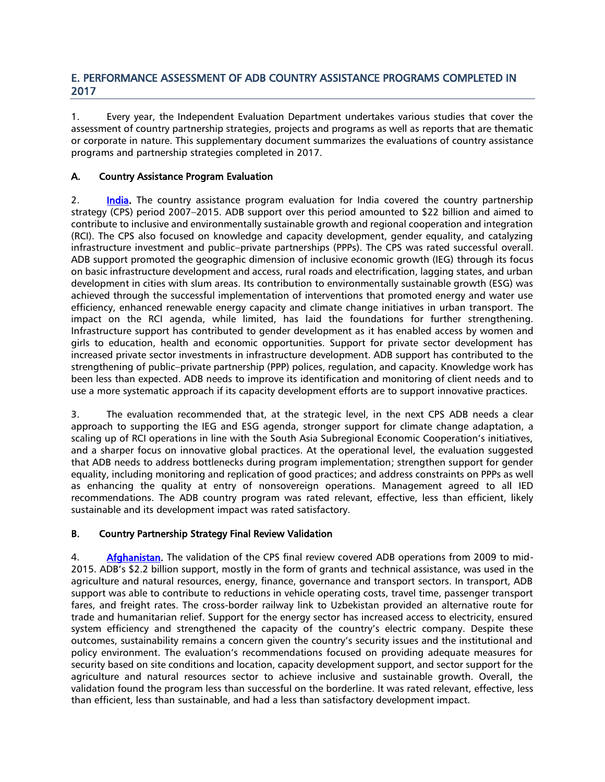## E. PERFORMANCE ASSESSMENT OF ADB COUNTRY ASSISTANCE PROGRAMS COMPLETED IN 2017

1. Every year, the Independent Evaluation Department undertakes various studies that cover the assessment of country partnership strategies, projects and programs as well as reports that are thematic or corporate in nature. This supplementary document summarizes the evaluations of country assistance programs and partnership strategies completed in 2017.

## A. Country Assistance Program Evaluation

2. [India.](https://www.adb.org/documents/country-assistance-program-evaluation-india) The country assistance program evaluation for India covered the country partnership strategy (CPS) period 2007–2015. ADB support over this period amounted to \$22 billion and aimed to contribute to inclusive and environmentally sustainable growth and regional cooperation and integration (RCI). The CPS also focused on knowledge and capacity development, gender equality, and catalyzing infrastructure investment and public–private partnerships (PPPs). The CPS was rated successful overall. ADB support promoted the geographic dimension of inclusive economic growth (IEG) through its focus on basic infrastructure development and access, rural roads and electrification, lagging states, and urban development in cities with slum areas. Its contribution to environmentally sustainable growth (ESG) was achieved through the successful implementation of interventions that promoted energy and water use efficiency, enhanced renewable energy capacity and climate change initiatives in urban transport. The impact on the RCI agenda, while limited, has laid the foundations for further strengthening. Infrastructure support has contributed to gender development as it has enabled access by women and girls to education, health and economic opportunities. Support for private sector development has increased private sector investments in infrastructure development. ADB support has contributed to the strengthening of public–private partnership (PPP) polices, regulation, and capacity. Knowledge work has been less than expected. ADB needs to improve its identification and monitoring of client needs and to use a more systematic approach if its capacity development efforts are to support innovative practices.

3. The evaluation recommended that, at the strategic level, in the next CPS ADB needs a clear approach to supporting the IEG and ESG agenda, stronger support for climate change adaptation, a scaling up of RCI operations in line with the South Asia Subregional Economic Cooperation's initiatives, and a sharper focus on innovative global practices. At the operational level, the evaluation suggested that ADB needs to address bottlenecks during program implementation; strengthen support for gender equality, including monitoring and replication of good practices; and address constraints on PPPs as well as enhancing the quality at entry of nonsovereign operations. Management agreed to all IED recommendations. The ADB country program was rated relevant, effective, less than efficient, likely sustainable and its development impact was rated satisfactory.

## B. Country Partnership Strategy Final Review Validation

4. **[Afghanistan.](http://www.adb.org/documents/afghanistan-validation-CPS-final-review-2009-mid-2015)** The validation of the CPS final review covered ADB operations from 2009 to mid-2015. ADB's \$2.2 billion support, mostly in the form of grants and technical assistance, was used in the agriculture and natural resources, energy, finance, governance and transport sectors. In transport, ADB support was able to contribute to reductions in vehicle operating costs, travel time, passenger transport fares, and freight rates. The cross-border railway link to Uzbekistan provided an alternative route for trade and humanitarian relief. Support for the energy sector has increased access to electricity, ensured system efficiency and strengthened the capacity of the country's electric company. Despite these outcomes, sustainability remains a concern given the country's security issues and the institutional and policy environment. The evaluation's recommendations focused on providing adequate measures for security based on site conditions and location, capacity development support, and sector support for the agriculture and natural resources sector to achieve inclusive and sustainable growth. Overall, the validation found the program less than successful on the borderline. It was rated relevant, effective, less than efficient, less than sustainable, and had a less than satisfactory development impact.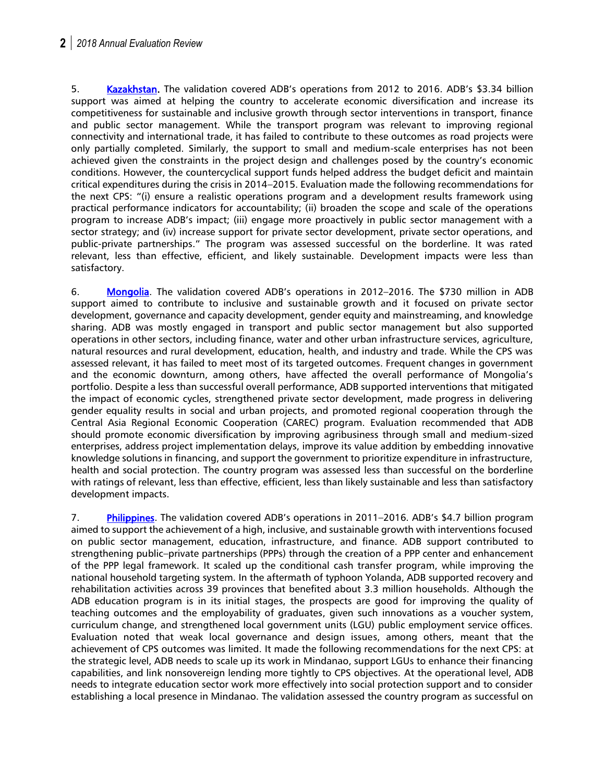## **2** *2018 Annual Evaluation Review*

5. [Kazakhstan.](http://www.adb.org/documents/kazakhstan-country-partnership-strategy-final-review-validation-2012-2016) The validation covered ADB's operations from 2012 to 2016. ADB's \$3.34 billion support was aimed at helping the country to accelerate economic diversification and increase its competitiveness for sustainable and inclusive growth through sector interventions in transport, finance and public sector management. While the transport program was relevant to improving regional connectivity and international trade, it has failed to contribute to these outcomes as road projects were only partially completed. Similarly, the support to small and medium-scale enterprises has not been achieved given the constraints in the project design and challenges posed by the country's economic conditions. However, the countercyclical support funds helped address the budget deficit and maintain critical expenditures during the crisis in 2014–2015. Evaluation made the following recommendations for the next CPS: "(i) ensure a realistic operations program and a development results framework using practical performance indicators for accountability; (ii) broaden the scope and scale of the operations program to increase ADB's impact; (iii) engage more proactively in public sector management with a sector strategy; and (iv) increase support for private sector development, private sector operations, and public-private partnerships." The program was assessed successful on the borderline. It was rated relevant, less than effective, efficient, and likely sustainable. Development impacts were less than satisfactory.

6. [Mongolia](http://www.adb.org/documents/mongolia-validation-country-partnership-strategy-final-review-2012-2016). The validation covered ADB's operations in 2012–2016. The \$730 million in ADB support aimed to contribute to inclusive and sustainable growth and it focused on private sector development, governance and capacity development, gender equity and mainstreaming, and knowledge sharing. ADB was mostly engaged in transport and public sector management but also supported operations in other sectors, including finance, water and other urban infrastructure services, agriculture, natural resources and rural development, education, health, and industry and trade. While the CPS was assessed relevant, it has failed to meet most of its targeted outcomes. Frequent changes in government and the economic downturn, among others, have affected the overall performance of Mongolia's portfolio. Despite a less than successful overall performance, ADB supported interventions that mitigated the impact of economic cycles, strengthened private sector development, made progress in delivering gender equality results in social and urban projects, and promoted regional cooperation through the Central Asia Regional Economic Cooperation (CAREC) program. Evaluation recommended that ADB should promote economic diversification by improving agribusiness through small and medium-sized enterprises, address project implementation delays, improve its value addition by embedding innovative knowledge solutions in financing, and support the government to prioritize expenditure in infrastructure, health and social protection. The country program was assessed less than successful on the borderline with ratings of relevant, less than effective, efficient, less than likely sustainable and less than satisfactory development impacts.

7. [Philippines.](http://www.adb.org/documents/philippines-country-partnership-strategy-final-review-validation-2011-2016) The validation covered ADB's operations in 2011–2016. ADB's \$4.7 billion program aimed to support the achievement of a high, inclusive, and sustainable growth with interventions focused on public sector management, education, infrastructure, and finance. ADB support contributed to strengthening public–private partnerships (PPPs) through the creation of a PPP center and enhancement of the PPP legal framework. It scaled up the conditional cash transfer program, while improving the national household targeting system. In the aftermath of typhoon Yolanda, ADB supported recovery and rehabilitation activities across 39 provinces that benefited about 3.3 million households. Although the ADB education program is in its initial stages, the prospects are good for improving the quality of teaching outcomes and the employability of graduates, given such innovations as a voucher system, curriculum change, and strengthened local government units (LGU) public employment service offices. Evaluation noted that weak local governance and design issues, among others, meant that the achievement of CPS outcomes was limited. It made the following recommendations for the next CPS: at the strategic level, ADB needs to scale up its work in Mindanao, support LGUs to enhance their financing capabilities, and link nonsovereign lending more tightly to CPS objectives. At the operational level, ADB needs to integrate education sector work more effectively into social protection support and to consider establishing a local presence in Mindanao. The validation assessed the country program as successful on